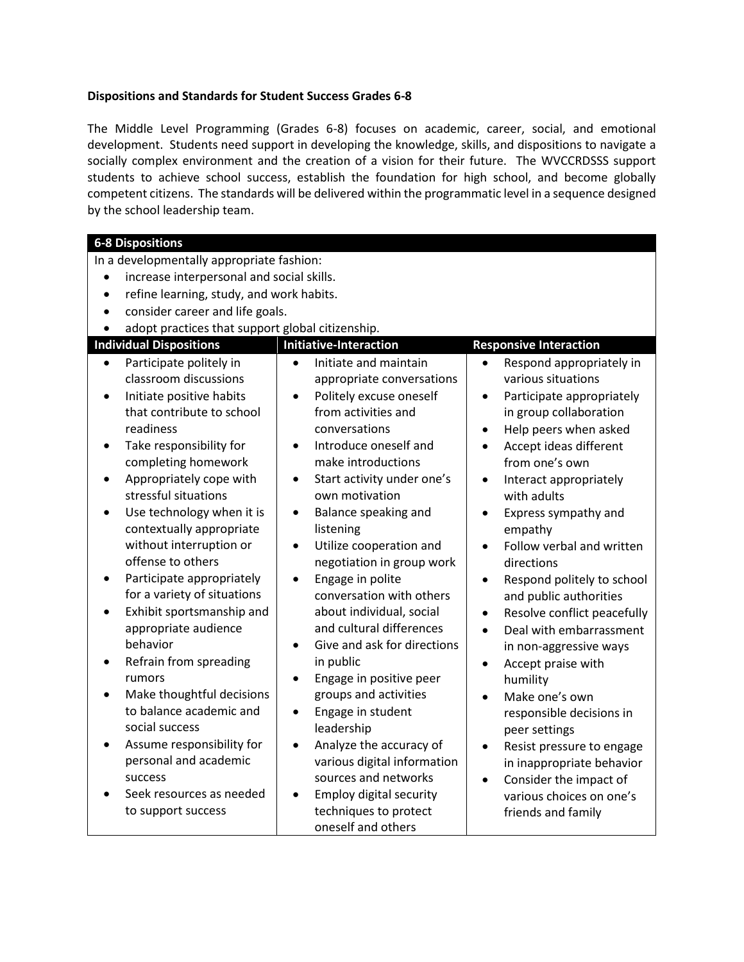## **Dispositions and Standards for Student Success Grades 6-8**

The Middle Level Programming (Grades 6-8) focuses on academic, career, social, and emotional development. Students need support in developing the knowledge, skills, and dispositions to navigate a socially complex environment and the creation of a vision for their future. The WVCCRDSSS support students to achieve school success, establish the foundation for high school, and become globally competent citizens. The standards will be delivered within the programmatic level in a sequence designed by the school leadership team.

| <b>6-8 Dispositions</b>                                |                                             |                                          |  |  |
|--------------------------------------------------------|---------------------------------------------|------------------------------------------|--|--|
| In a developmentally appropriate fashion:              |                                             |                                          |  |  |
| increase interpersonal and social skills.<br>$\bullet$ |                                             |                                          |  |  |
| $\bullet$                                              | refine learning, study, and work habits.    |                                          |  |  |
| consider career and life goals.                        |                                             |                                          |  |  |
| adopt practices that support global citizenship.       |                                             |                                          |  |  |
| <b>Individual Dispositions</b>                         | <b>Initiative-Interaction</b>               | <b>Responsive Interaction</b>            |  |  |
| Participate politely in<br>$\bullet$                   | Initiate and maintain<br>$\bullet$          | Respond appropriately in<br>$\bullet$    |  |  |
| classroom discussions                                  | appropriate conversations                   | various situations                       |  |  |
| Initiate positive habits                               | Politely excuse oneself<br>$\bullet$        | Participate appropriately<br>$\bullet$   |  |  |
| that contribute to school                              | from activities and                         | in group collaboration                   |  |  |
| readiness                                              | conversations                               | Help peers when asked<br>$\bullet$       |  |  |
| Take responsibility for<br>$\bullet$                   | Introduce oneself and<br>$\bullet$          | Accept ideas different<br>$\bullet$      |  |  |
| completing homework                                    | make introductions                          | from one's own                           |  |  |
| Appropriately cope with                                | Start activity under one's<br>$\bullet$     | Interact appropriately<br>$\bullet$      |  |  |
| stressful situations                                   | own motivation                              | with adults                              |  |  |
| Use technology when it is                              | Balance speaking and<br>٠                   | Express sympathy and<br>$\bullet$        |  |  |
| contextually appropriate                               | listening                                   | empathy                                  |  |  |
| without interruption or                                | Utilize cooperation and<br>$\bullet$        | Follow verbal and written<br>$\bullet$   |  |  |
| offense to others                                      | negotiation in group work                   | directions                               |  |  |
| Participate appropriately                              | Engage in polite<br>$\bullet$               | Respond politely to school<br>$\bullet$  |  |  |
| for a variety of situations                            | conversation with others                    | and public authorities                   |  |  |
| Exhibit sportsmanship and                              | about individual, social                    | Resolve conflict peacefully<br>$\bullet$ |  |  |
| appropriate audience                                   | and cultural differences                    | Deal with embarrassment<br>$\bullet$     |  |  |
| behavior                                               | Give and ask for directions<br>$\bullet$    | in non-aggressive ways                   |  |  |
| Refrain from spreading                                 | in public                                   | Accept praise with<br>$\bullet$          |  |  |
| rumors                                                 | Engage in positive peer<br>$\bullet$        | humility                                 |  |  |
| Make thoughtful decisions                              | groups and activities                       | Make one's own<br>$\bullet$              |  |  |
| to balance academic and                                | Engage in student<br>$\bullet$              | responsible decisions in                 |  |  |
| social success                                         | leadership                                  | peer settings                            |  |  |
| Assume responsibility for                              | Analyze the accuracy of<br>$\bullet$        | Resist pressure to engage<br>$\bullet$   |  |  |
| personal and academic                                  | various digital information                 | in inappropriate behavior                |  |  |
| success                                                | sources and networks                        | Consider the impact of<br>$\bullet$      |  |  |
| Seek resources as needed                               | <b>Employ digital security</b><br>$\bullet$ | various choices on one's                 |  |  |
| to support success                                     | techniques to protect                       | friends and family                       |  |  |
|                                                        | oneself and others                          |                                          |  |  |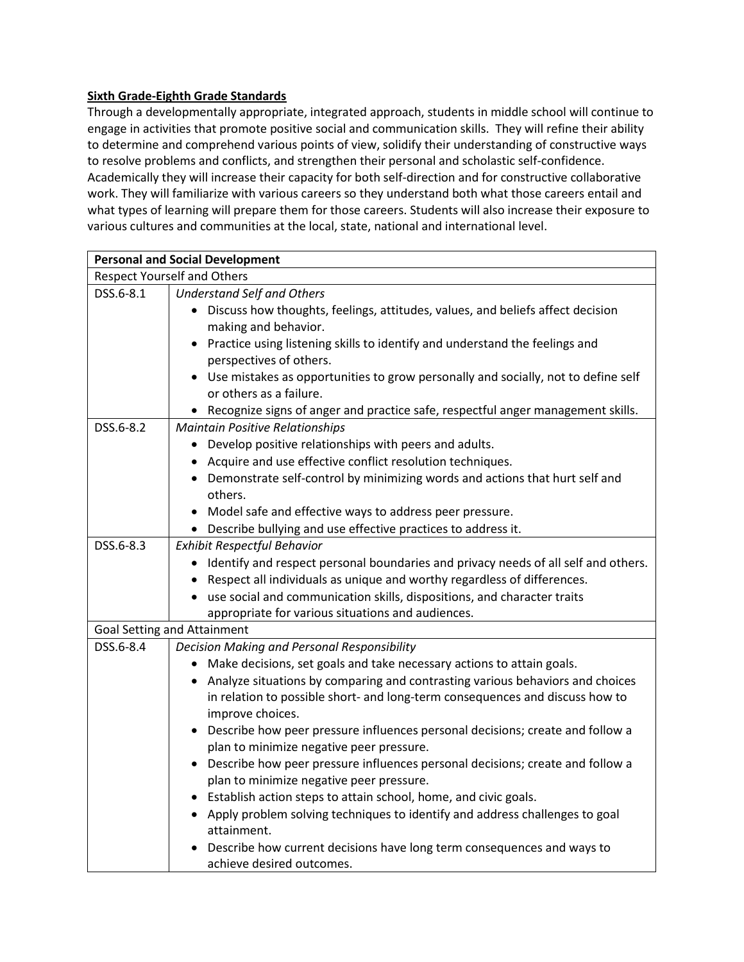## **Sixth Grade-Eighth Grade Standards**

Through a developmentally appropriate, integrated approach, students in middle school will continue to engage in activities that promote positive social and communication skills. They will refine their ability to determine and comprehend various points of view, solidify their understanding of constructive ways to resolve problems and conflicts, and strengthen their personal and scholastic self-confidence. Academically they will increase their capacity for both self-direction and for constructive collaborative work. They will familiarize with various careers so they understand both what those careers entail and what types of learning will prepare them for those careers. Students will also increase their exposure to various cultures and communities at the local, state, national and international level.

| <b>Personal and Social Development</b> |                                                                                                                             |
|----------------------------------------|-----------------------------------------------------------------------------------------------------------------------------|
| <b>Respect Yourself and Others</b>     |                                                                                                                             |
| DSS.6-8.1                              | <b>Understand Self and Others</b>                                                                                           |
|                                        | Discuss how thoughts, feelings, attitudes, values, and beliefs affect decision                                              |
|                                        | making and behavior.                                                                                                        |
|                                        | Practice using listening skills to identify and understand the feelings and                                                 |
|                                        | perspectives of others.                                                                                                     |
|                                        | Use mistakes as opportunities to grow personally and socially, not to define self                                           |
|                                        | or others as a failure.                                                                                                     |
|                                        | • Recognize signs of anger and practice safe, respectful anger management skills.                                           |
| DSS.6-8.2                              | <b>Maintain Positive Relationships</b>                                                                                      |
|                                        | • Develop positive relationships with peers and adults.                                                                     |
|                                        | Acquire and use effective conflict resolution techniques.                                                                   |
|                                        | Demonstrate self-control by minimizing words and actions that hurt self and                                                 |
|                                        | others.                                                                                                                     |
|                                        | Model safe and effective ways to address peer pressure.                                                                     |
|                                        | Describe bullying and use effective practices to address it.                                                                |
| DSS.6-8.3                              | <b>Exhibit Respectful Behavior</b>                                                                                          |
|                                        | Identify and respect personal boundaries and privacy needs of all self and others.<br>$\bullet$                             |
|                                        | Respect all individuals as unique and worthy regardless of differences.                                                     |
|                                        | use social and communication skills, dispositions, and character traits                                                     |
|                                        | appropriate for various situations and audiences.                                                                           |
|                                        | <b>Goal Setting and Attainment</b>                                                                                          |
| DSS.6-8.4                              | Decision Making and Personal Responsibility                                                                                 |
|                                        | • Make decisions, set goals and take necessary actions to attain goals.                                                     |
|                                        | Analyze situations by comparing and contrasting various behaviors and choices                                               |
|                                        | in relation to possible short- and long-term consequences and discuss how to                                                |
|                                        | improve choices.                                                                                                            |
|                                        | • Describe how peer pressure influences personal decisions; create and follow a<br>plan to minimize negative peer pressure. |
|                                        | Describe how peer pressure influences personal decisions; create and follow a                                               |
|                                        | plan to minimize negative peer pressure.                                                                                    |
|                                        | Establish action steps to attain school, home, and civic goals.                                                             |
|                                        | Apply problem solving techniques to identify and address challenges to goal                                                 |
|                                        | attainment.                                                                                                                 |
|                                        | Describe how current decisions have long term consequences and ways to                                                      |
|                                        | achieve desired outcomes.                                                                                                   |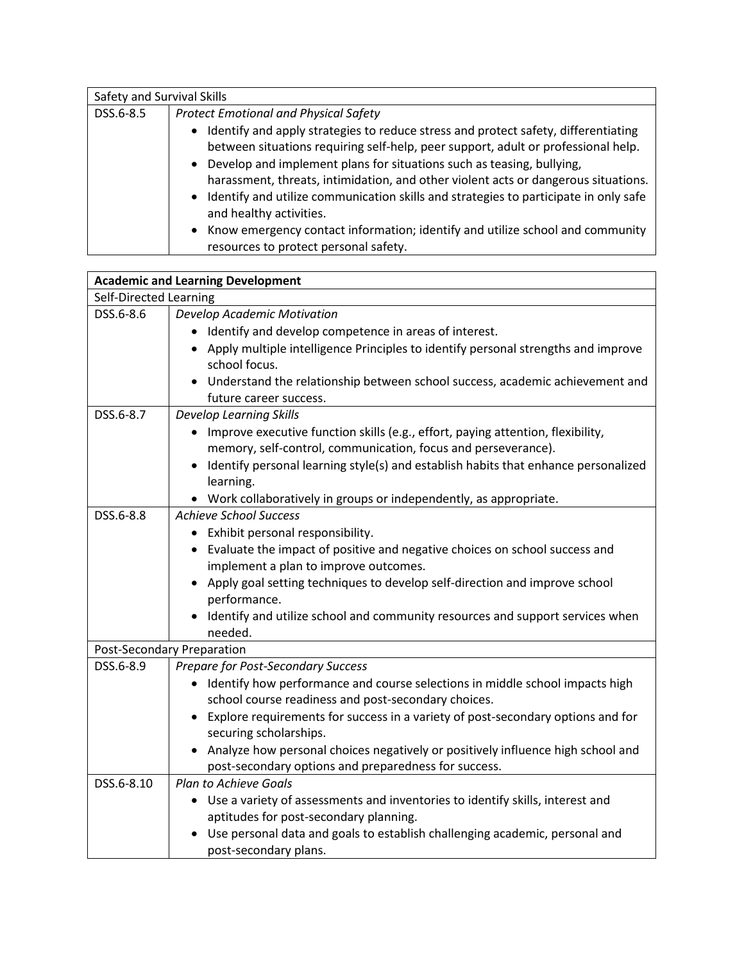| Safety and Survival Skills |                                                                                                                                                                                                                                                                                                                                                                                                                                                             |
|----------------------------|-------------------------------------------------------------------------------------------------------------------------------------------------------------------------------------------------------------------------------------------------------------------------------------------------------------------------------------------------------------------------------------------------------------------------------------------------------------|
| DSS.6-8.5                  | <b>Protect Emotional and Physical Safety</b>                                                                                                                                                                                                                                                                                                                                                                                                                |
|                            | Identify and apply strategies to reduce stress and protect safety, differentiating<br>between situations requiring self-help, peer support, adult or professional help.<br>Develop and implement plans for situations such as teasing, bullying,<br>harassment, threats, intimidation, and other violent acts or dangerous situations.<br>• Identify and utilize communication skills and strategies to participate in only safe<br>and healthy activities. |
|                            | Know emergency contact information; identify and utilize school and community<br>resources to protect personal safety.                                                                                                                                                                                                                                                                                                                                      |

| <b>Academic and Learning Development</b> |                                                                                                                                     |
|------------------------------------------|-------------------------------------------------------------------------------------------------------------------------------------|
| Self-Directed Learning                   |                                                                                                                                     |
| DSS.6-8.6                                | Develop Academic Motivation                                                                                                         |
|                                          | • Identify and develop competence in areas of interest.                                                                             |
|                                          | Apply multiple intelligence Principles to identify personal strengths and improve<br>school focus.                                  |
|                                          | Understand the relationship between school success, academic achievement and<br>future career success.                              |
| DSS.6-8.7                                | <b>Develop Learning Skills</b>                                                                                                      |
|                                          | • Improve executive function skills (e.g., effort, paying attention, flexibility,                                                   |
|                                          | memory, self-control, communication, focus and perseverance).                                                                       |
|                                          | Identify personal learning style(s) and establish habits that enhance personalized<br>learning.                                     |
|                                          | • Work collaboratively in groups or independently, as appropriate.                                                                  |
| DSS.6-8.8                                | <b>Achieve School Success</b>                                                                                                       |
|                                          | • Exhibit personal responsibility.                                                                                                  |
|                                          | • Evaluate the impact of positive and negative choices on school success and                                                        |
|                                          | implement a plan to improve outcomes.                                                                                               |
|                                          | Apply goal setting techniques to develop self-direction and improve school<br>performance.                                          |
|                                          | Identify and utilize school and community resources and support services when<br>needed.                                            |
| <b>Post-Secondary Preparation</b>        |                                                                                                                                     |
| DSS.6-8.9                                | Prepare for Post-Secondary Success                                                                                                  |
|                                          | Identify how performance and course selections in middle school impacts high<br>school course readiness and post-secondary choices. |
|                                          | Explore requirements for success in a variety of post-secondary options and for<br>securing scholarships.                           |
|                                          | Analyze how personal choices negatively or positively influence high school and                                                     |
|                                          | post-secondary options and preparedness for success.                                                                                |
| DSS.6-8.10                               | <b>Plan to Achieve Goals</b>                                                                                                        |
|                                          | • Use a variety of assessments and inventories to identify skills, interest and                                                     |
|                                          | aptitudes for post-secondary planning.                                                                                              |
|                                          | Use personal data and goals to establish challenging academic, personal and                                                         |
|                                          | post-secondary plans.                                                                                                               |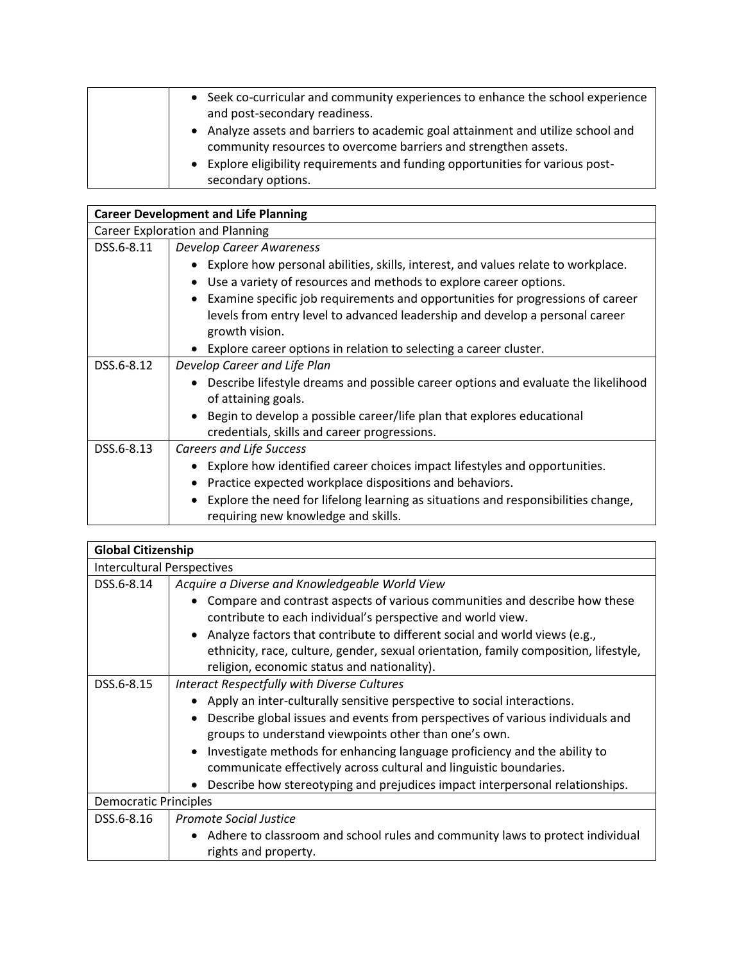| • Seek co-curricular and community experiences to enhance the school experience<br>and post-secondary readiness.                                    |
|-----------------------------------------------------------------------------------------------------------------------------------------------------|
| • Analyze assets and barriers to academic goal attainment and utilize school and<br>community resources to overcome barriers and strengthen assets. |
| • Explore eligibility requirements and funding opportunities for various post-<br>secondary options.                                                |

| <b>Career Development and Life Planning</b>                                                                              |  |
|--------------------------------------------------------------------------------------------------------------------------|--|
| <b>Career Exploration and Planning</b>                                                                                   |  |
| <b>Develop Career Awareness</b>                                                                                          |  |
| Explore how personal abilities, skills, interest, and values relate to workplace.                                        |  |
| Use a variety of resources and methods to explore career options.                                                        |  |
| Examine specific job requirements and opportunities for progressions of career                                           |  |
| levels from entry level to advanced leadership and develop a personal career                                             |  |
| growth vision.                                                                                                           |  |
| Explore career options in relation to selecting a career cluster.                                                        |  |
| Develop Career and Life Plan                                                                                             |  |
| Describe lifestyle dreams and possible career options and evaluate the likelihood                                        |  |
| of attaining goals.                                                                                                      |  |
| Begin to develop a possible career/life plan that explores educational                                                   |  |
| credentials, skills and career progressions.                                                                             |  |
| <b>Careers and Life Success</b>                                                                                          |  |
| Explore how identified career choices impact lifestyles and opportunities.                                               |  |
| Practice expected workplace dispositions and behaviors.                                                                  |  |
| Explore the need for lifelong learning as situations and responsibilities change,<br>requiring new knowledge and skills. |  |
|                                                                                                                          |  |

| <b>Global Citizenship</b>         |                                                                                      |
|-----------------------------------|--------------------------------------------------------------------------------------|
| <b>Intercultural Perspectives</b> |                                                                                      |
| DSS.6-8.14                        | Acquire a Diverse and Knowledgeable World View                                       |
|                                   | Compare and contrast aspects of various communities and describe how these           |
|                                   | contribute to each individual's perspective and world view.                          |
|                                   | Analyze factors that contribute to different social and world views (e.g.,           |
|                                   | ethnicity, race, culture, gender, sexual orientation, family composition, lifestyle, |
|                                   | religion, economic status and nationality).                                          |
| DSS.6-8.15                        | Interact Respectfully with Diverse Cultures                                          |
|                                   | Apply an inter-culturally sensitive perspective to social interactions.              |
|                                   | Describe global issues and events from perspectives of various individuals and       |
|                                   | groups to understand viewpoints other than one's own.                                |
|                                   | Investigate methods for enhancing language proficiency and the ability to            |
|                                   | communicate effectively across cultural and linguistic boundaries.                   |
|                                   | Describe how stereotyping and prejudices impact interpersonal relationships.         |
| <b>Democratic Principles</b>      |                                                                                      |
| DSS.6-8.16                        | <b>Promote Social Justice</b>                                                        |
|                                   | Adhere to classroom and school rules and community laws to protect individual        |
|                                   | rights and property.                                                                 |